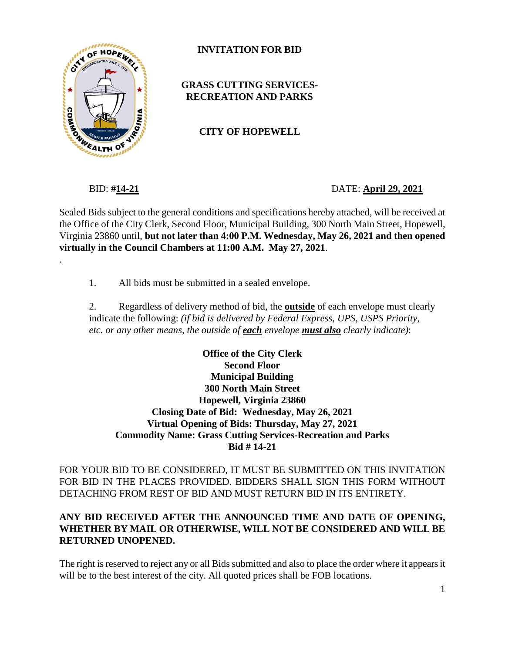

**INVITATION FOR BID**

#### **GRASS CUTTING SERVICES-RECREATION AND PARKS**

**CITY OF HOPEWELL**

.

BID: **#14-21** DATE: **April 29, 2021**

Sealed Bids subject to the general conditions and specifications hereby attached, will be received at the Office of the City Clerk, Second Floor, Municipal Building, 300 North Main Street, Hopewell, Virginia 23860 until, **but not later than 4:00 P.M. Wednesday, May 26, 2021 and then opened virtually in the Council Chambers at 11:00 A.M. May 27, 2021**.

1. All bids must be submitted in a sealed envelope.

2. Regardless of delivery method of bid, the **outside** of each envelope must clearly indicate the following: *(if bid is delivered by Federal Express, UPS, USPS Priority, etc. or any other means, the outside of each envelope must also clearly indicate)*:

**Office of the City Clerk Second Floor Municipal Building 300 North Main Street Hopewell, Virginia 23860 Closing Date of Bid: Wednesday, May 26, 2021 Virtual Opening of Bids: Thursday, May 27, 2021 Commodity Name: Grass Cutting Services-Recreation and Parks Bid # 14-21**

FOR YOUR BID TO BE CONSIDERED, IT MUST BE SUBMITTED ON THIS INVITATION FOR BID IN THE PLACES PROVIDED. BIDDERS SHALL SIGN THIS FORM WITHOUT DETACHING FROM REST OF BID AND MUST RETURN BID IN ITS ENTIRETY.

#### **ANY BID RECEIVED AFTER THE ANNOUNCED TIME AND DATE OF OPENING, WHETHER BY MAIL OR OTHERWISE, WILL NOT BE CONSIDERED AND WILL BE RETURNED UNOPENED.**

The right is reserved to reject any or all Bids submitted and also to place the order where it appears it will be to the best interest of the city. All quoted prices shall be FOB locations.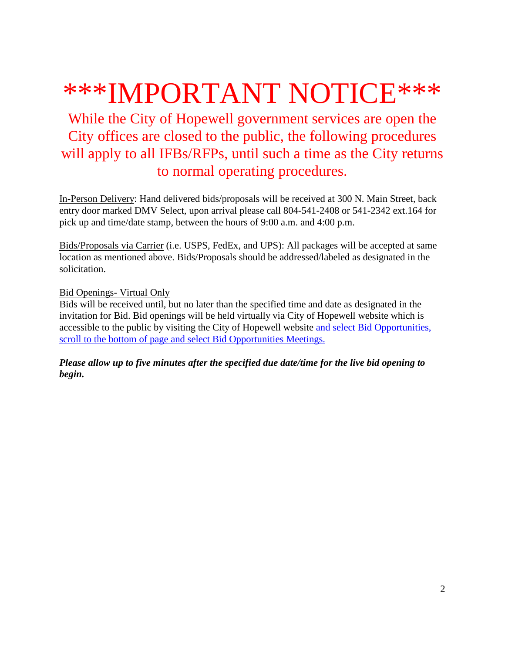# \*\*\*IMPORTANT NOTICE\*\*\*

While the City of Hopewell government services are open the City offices are closed to the public, the following procedures will apply to all IFBs/RFPs, until such a time as the City returns to normal operating procedures.

In-Person Delivery: Hand delivered bids/proposals will be received at 300 N. Main Street, back entry door marked DMV Select, upon arrival please call 804-541-2408 or 541-2342 ext.164 for pick up and time/date stamp, between the hours of 9:00 a.m. and 4:00 p.m.

Bids/Proposals via Carrier (i.e. USPS, FedEx, and UPS): All packages will be accepted at same location as mentioned above. Bids/Proposals should be addressed/labeled as designated in the solicitation.

Bid Openings- Virtual Only

Bids will be received until, but no later than the specified time and date as designated in the invitation for Bid. Bid openings will be held virtually via City of Hopewell website which is accessible to the public by visiting the City of Hopewell website and select Bid Opportunities, scroll to the bottom of page and select Bid Opportunities Meetings.

*Please allow up to five minutes after the specified due date/time for the live bid opening to begin.*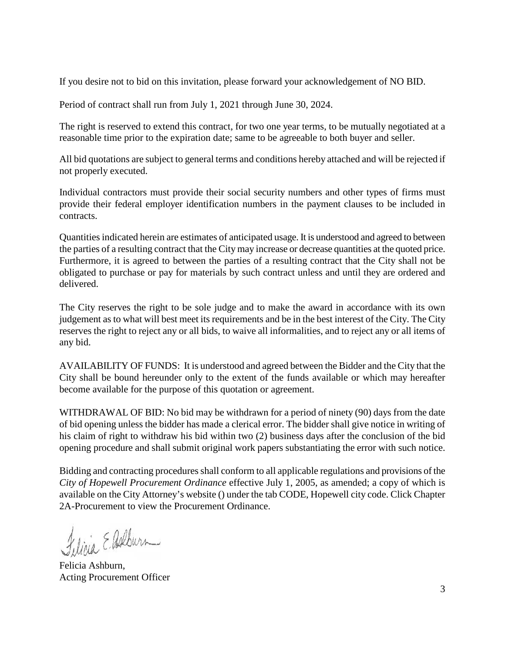If you desire not to bid on this invitation, please forward your acknowledgement of NO BID.

Period of contract shall run from July 1, 2021 through June 30, 2024.

The right is reserved to extend this contract, for two one year terms, to be mutually negotiated at a reasonable time prior to the expiration date; same to be agreeable to both buyer and seller.

All bid quotations are subject to general terms and conditions hereby attached and will be rejected if not properly executed.

Individual contractors must provide their social security numbers and other types of firms must provide their federal employer identification numbers in the payment clauses to be included in contracts.

Quantities indicated herein are estimates of anticipated usage. It is understood and agreed to between the parties of a resulting contract that the City may increase or decrease quantities at the quoted price. Furthermore, it is agreed to between the parties of a resulting contract that the City shall not be obligated to purchase or pay for materials by such contract unless and until they are ordered and delivered.

The City reserves the right to be sole judge and to make the award in accordance with its own judgement as to what will best meet its requirements and be in the best interest of the City. The City reserves the right to reject any or all bids, to waive all informalities, and to reject any or all items of any bid.

AVAILABILITY OF FUNDS: It is understood and agreed between the Bidder and the City that the City shall be bound hereunder only to the extent of the funds available or which may hereafter become available for the purpose of this quotation or agreement.

WITHDRAWAL OF BID: No bid may be withdrawn for a period of ninety (90) days from the date of bid opening unless the bidder has made a clerical error. The bidder shall give notice in writing of his claim of right to withdraw his bid within two (2) business days after the conclusion of the bid opening procedure and shall submit original work papers substantiating the error with such notice.

Bidding and contracting procedures shall conform to all applicable regulations and provisions of the *City of Hopewell Procurement Ordinance* effective July 1, 2005, as amended; a copy of which is available on the City Attorney's website () under the tab CODE, Hopewell city code. Click Chapter 2A-Procurement to view the Procurement Ordinance.

Felicia E. Ashburn

Felicia Ashburn, Acting Procurement Officer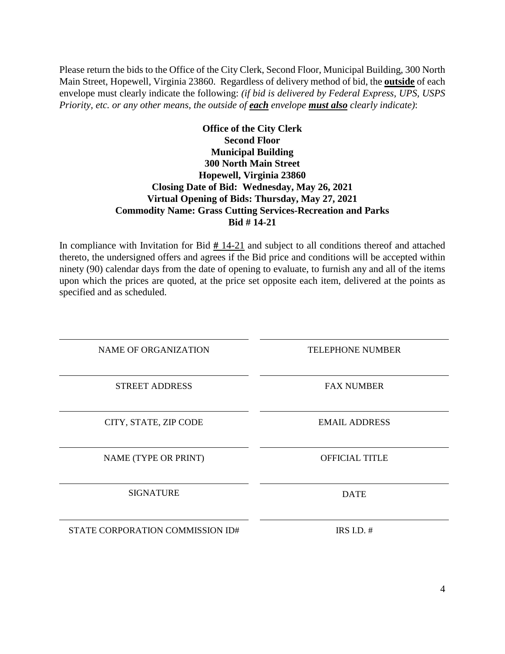Please return the bids to the Office of the City Clerk, Second Floor, Municipal Building, 300 North Main Street, Hopewell, Virginia 23860. Regardless of delivery method of bid, the **outside** of each envelope must clearly indicate the following: *(if bid is delivered by Federal Express, UPS, USPS Priority, etc. or any other means, the outside of each envelope must also clearly indicate)*:

#### **Office of the City Clerk Second Floor Municipal Building 300 North Main Street Hopewell, Virginia 23860 Closing Date of Bid: Wednesday, May 26, 2021 Virtual Opening of Bids: Thursday, May 27, 2021 Commodity Name: Grass Cutting Services-Recreation and Parks Bid # 14-21**

In compliance with Invitation for Bid **#** 14-21 and subject to all conditions thereof and attached thereto, the undersigned offers and agrees if the Bid price and conditions will be accepted within ninety (90) calendar days from the date of opening to evaluate, to furnish any and all of the items upon which the prices are quoted, at the price set opposite each item, delivered at the points as specified and as scheduled.

| <b>NAME OF ORGANIZATION</b>      | <b>TELEPHONE NUMBER</b> |
|----------------------------------|-------------------------|
| <b>STREET ADDRESS</b>            | <b>FAX NUMBER</b>       |
| CITY, STATE, ZIP CODE            | <b>EMAIL ADDRESS</b>    |
| NAME (TYPE OR PRINT)             | <b>OFFICIAL TITLE</b>   |
| <b>SIGNATURE</b>                 | <b>DATE</b>             |
| STATE CORPORATION COMMISSION ID# | IRS I.D. $#$            |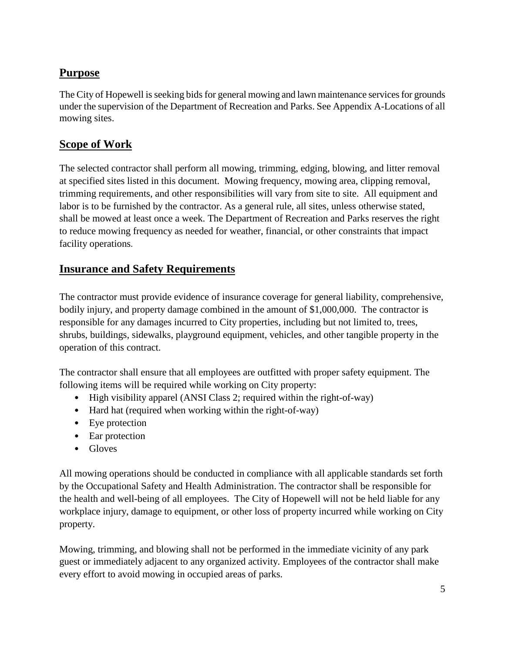# **Purpose**

The City of Hopewell is seeking bids for general mowing and lawn maintenance services for grounds under the supervision of the Department of Recreation and Parks. See Appendix A-Locations of all mowing sites.

## **Scope of Work**

The selected contractor shall perform all mowing, trimming, edging, blowing, and litter removal at specified sites listed in this document. Mowing frequency, mowing area, clipping removal, trimming requirements, and other responsibilities will vary from site to site. All equipment and labor is to be furnished by the contractor. As a general rule, all sites, unless otherwise stated, shall be mowed at least once a week. The Department of Recreation and Parks reserves the right to reduce mowing frequency as needed for weather, financial, or other constraints that impact facility operations.

## **Insurance and Safety Requirements**

The contractor must provide evidence of insurance coverage for general liability, comprehensive, bodily injury, and property damage combined in the amount of \$1,000,000. The contractor is responsible for any damages incurred to City properties, including but not limited to, trees, shrubs, buildings, sidewalks, playground equipment, vehicles, and other tangible property in the operation of this contract.

The contractor shall ensure that all employees are outfitted with proper safety equipment. The following items will be required while working on City property:

- High visibility apparel (ANSI Class 2; required within the right-of-way)
- Hard hat (required when working within the right-of-way)
- Eye protection
- Ear protection
- Gloves

All mowing operations should be conducted in compliance with all applicable standards set forth by the Occupational Safety and Health Administration. The contractor shall be responsible for the health and well-being of all employees. The City of Hopewell will not be held liable for any workplace injury, damage to equipment, or other loss of property incurred while working on City property.

Mowing, trimming, and blowing shall not be performed in the immediate vicinity of any park guest or immediately adjacent to any organized activity. Employees of the contractor shall make every effort to avoid mowing in occupied areas of parks.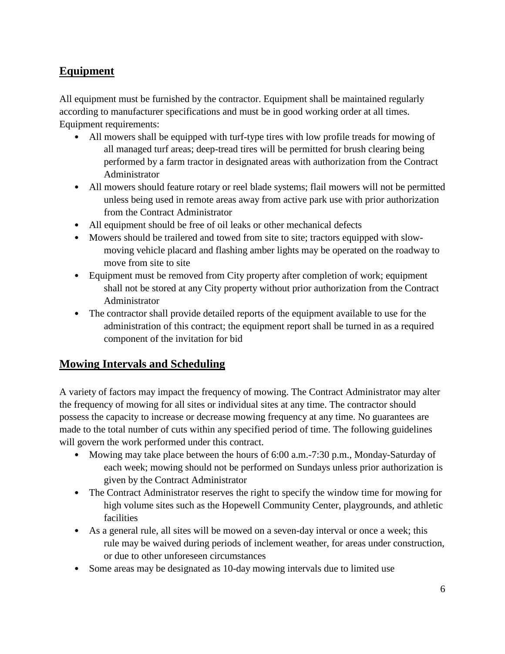# **Equipment**

All equipment must be furnished by the contractor. Equipment shall be maintained regularly according to manufacturer specifications and must be in good working order at all times. Equipment requirements:

- All mowers shall be equipped with turf-type tires with low profile treads for mowing of all managed turf areas; deep-tread tires will be permitted for brush clearing being performed by a farm tractor in designated areas with authorization from the Contract Administrator
- All mowers should feature rotary or reel blade systems; flail mowers will not be permitted unless being used in remote areas away from active park use with prior authorization from the Contract Administrator
- All equipment should be free of oil leaks or other mechanical defects
- Mowers should be trailered and towed from site to site; tractors equipped with slowmoving vehicle placard and flashing amber lights may be operated on the roadway to move from site to site
- Equipment must be removed from City property after completion of work; equipment shall not be stored at any City property without prior authorization from the Contract Administrator
- The contractor shall provide detailed reports of the equipment available to use for the administration of this contract; the equipment report shall be turned in as a required component of the invitation for bid

## **Mowing Intervals and Scheduling**

A variety of factors may impact the frequency of mowing. The Contract Administrator may alter the frequency of mowing for all sites or individual sites at any time. The contractor should possess the capacity to increase or decrease mowing frequency at any time. No guarantees are made to the total number of cuts within any specified period of time. The following guidelines will govern the work performed under this contract.

- Mowing may take place between the hours of 6:00 a.m.-7:30 p.m., Monday-Saturday of each week; mowing should not be performed on Sundays unless prior authorization is given by the Contract Administrator
- The Contract Administrator reserves the right to specify the window time for mowing for high volume sites such as the Hopewell Community Center, playgrounds, and athletic facilities
- As a general rule, all sites will be mowed on a seven-day interval or once a week; this rule may be waived during periods of inclement weather, for areas under construction, or due to other unforeseen circumstances
- Some areas may be designated as 10-day mowing intervals due to limited use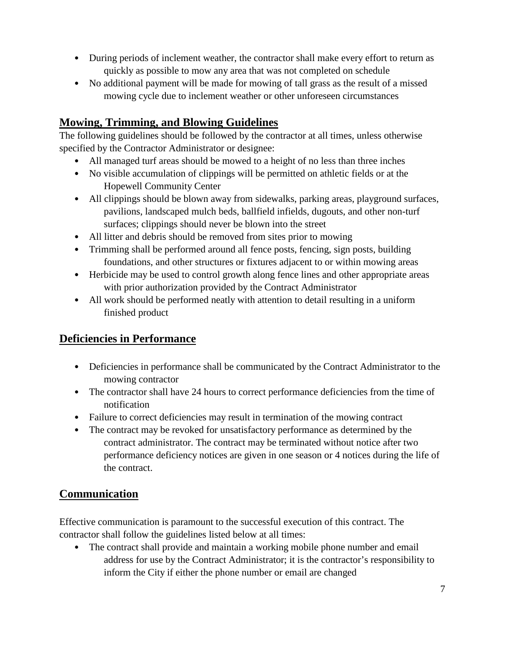- During periods of inclement weather, the contractor shall make every effort to return as quickly as possible to mow any area that was not completed on schedule
- No additional payment will be made for mowing of tall grass as the result of a missed mowing cycle due to inclement weather or other unforeseen circumstances

## **Mowing, Trimming, and Blowing Guidelines**

The following guidelines should be followed by the contractor at all times, unless otherwise specified by the Contractor Administrator or designee:

- All managed turf areas should be mowed to a height of no less than three inches
- No visible accumulation of clippings will be permitted on athletic fields or at the Hopewell Community Center
- All clippings should be blown away from sidewalks, parking areas, playground surfaces, pavilions, landscaped mulch beds, ballfield infields, dugouts, and other non-turf surfaces; clippings should never be blown into the street
- All litter and debris should be removed from sites prior to mowing
- Trimming shall be performed around all fence posts, fencing, sign posts, building foundations, and other structures or fixtures adjacent to or within mowing areas
- Herbicide may be used to control growth along fence lines and other appropriate areas with prior authorization provided by the Contract Administrator
- All work should be performed neatly with attention to detail resulting in a uniform finished product

## **Deficiencies in Performance**

- Deficiencies in performance shall be communicated by the Contract Administrator to the mowing contractor
- The contractor shall have 24 hours to correct performance deficiencies from the time of notification
- Failure to correct deficiencies may result in termination of the mowing contract
- The contract may be revoked for unsatisfactory performance as determined by the contract administrator. The contract may be terminated without notice after two performance deficiency notices are given in one season or 4 notices during the life of the contract.

# **Communication**

Effective communication is paramount to the successful execution of this contract. The contractor shall follow the guidelines listed below at all times:

• The contract shall provide and maintain a working mobile phone number and email address for use by the Contract Administrator; it is the contractor's responsibility to inform the City if either the phone number or email are changed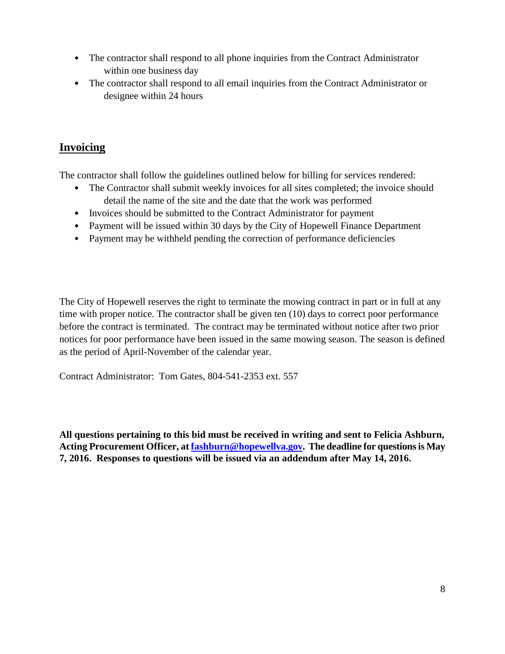- The contractor shall respond to all phone inquiries from the Contract Administrator within one business day
- The contractor shall respond to all email inquiries from the Contract Administrator or designee within 24 hours

## **Invoicing**

The contractor shall follow the guidelines outlined below for billing for services rendered:

- The Contractor shall submit weekly invoices for all sites completed; the invoice should detail the name of the site and the date that the work was performed
- Invoices should be submitted to the Contract Administrator for payment
- Payment will be issued within 30 days by the City of Hopewell Finance Department
- Payment may be withheld pending the correction of performance deficiencies

The City of Hopewell reserves the right to terminate the mowing contract in part or in full at any time with proper notice. The contractor shall be given ten (10) days to correct poor performance before the contract is terminated. The contract may be terminated without notice after two prior notices for poor performance have been issued in the same mowing season. The season is defined as the period of April-November of the calendar year.

Contract Administrator: Tom Gates, 804-541-2353 ext. 557

**All questions pertaining to this bid must be received in writing and sent to Felicia Ashburn, Acting Procurement Officer, a[t fashburn@hopewellva.gov.](mailto:fashburn@hopewellva.gov) The deadline for questions is May 7, 2016. Responses to questions will be issued via an addendum after May 14, 2016.**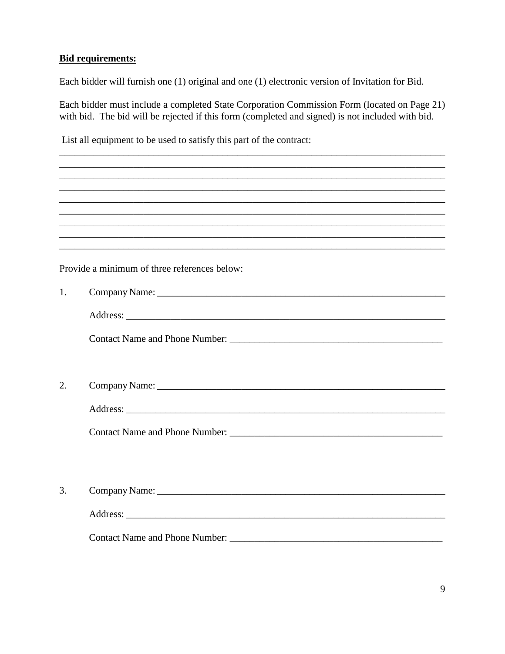#### **Bid requirements:**

Each bidder will furnish one (1) original and one (1) electronic version of Invitation for Bid.

Each bidder must include a completed State Corporation Commission Form (located on Page 21) with bid. The bid will be rejected if this form (completed and signed) is not included with bid.

List all equipment to be used to satisfy this part of the contract:

|    | ,我们也不能在这里的时候,我们也不能在这里的时候,我们也不能会不能会不能会不能会不能会不能会不能会不能会不能会不能会不能会不能会。<br>第2012章 我们的时候,我们的时候,我们的时候,我们的时候,我们的时候,我们的时候,我们的时候,我们的时候,我们的时候,我们的时候,我们的时候,我们的时候,我 |
|----|-------------------------------------------------------------------------------------------------------------------------------------------------------|
|    | ,我们也不会有什么。""我们的人,我们也不会有什么?""我们的人,我们也不会有什么?""我们的人,我们也不会有什么?""我们的人,我们也不会有什么?""我们的人                                                                      |
|    | ,我们也不会有什么。""我们的人,我们也不会有什么?""我们的人,我们也不会有什么?""我们的人,我们也不会有什么?""我们的人,我们也不会有什么?""我们的人                                                                      |
|    | Provide a minimum of three references below:                                                                                                          |
| 1. |                                                                                                                                                       |
|    |                                                                                                                                                       |
|    |                                                                                                                                                       |
|    |                                                                                                                                                       |
|    |                                                                                                                                                       |
| 2. |                                                                                                                                                       |
|    |                                                                                                                                                       |
|    |                                                                                                                                                       |
|    |                                                                                                                                                       |
|    |                                                                                                                                                       |
|    |                                                                                                                                                       |
|    |                                                                                                                                                       |
|    |                                                                                                                                                       |
|    |                                                                                                                                                       |
|    |                                                                                                                                                       |
| 3. |                                                                                                                                                       |
|    |                                                                                                                                                       |
|    |                                                                                                                                                       |
|    |                                                                                                                                                       |
|    |                                                                                                                                                       |
|    |                                                                                                                                                       |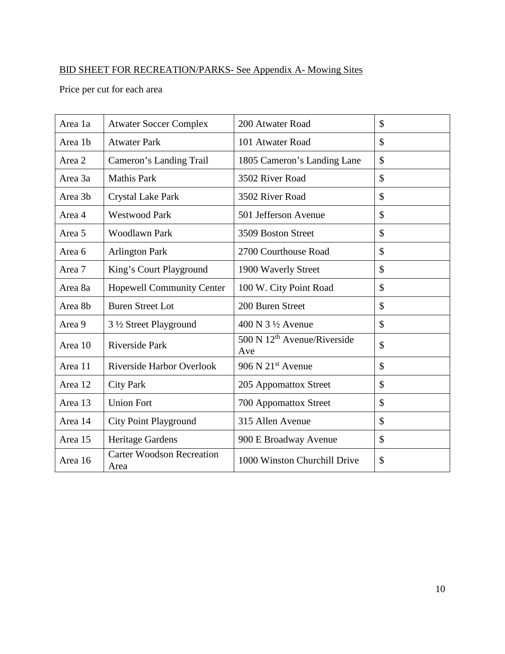# BID SHEET FOR RECREATION/PARKS- See Appendix A- Mowing Sites

Price per cut for each area

| Area 1a | <b>Atwater Soccer Complex</b>            | 200 Atwater Road                                            | \$            |
|---------|------------------------------------------|-------------------------------------------------------------|---------------|
| Area 1b | <b>Atwater Park</b>                      | 101 Atwater Road                                            | $\mathcal{S}$ |
| Area 2  | Cameron's Landing Trail                  | 1805 Cameron's Landing Lane                                 | $\mathcal{S}$ |
| Area 3a | <b>Mathis Park</b>                       | 3502 River Road                                             | $\mathcal{S}$ |
| Area 3b | Crystal Lake Park                        | 3502 River Road                                             | $\mathcal{S}$ |
| Area 4  | <b>Westwood Park</b>                     | 501 Jefferson Avenue                                        | $\mathcal{S}$ |
| Area 5  | <b>Woodlawn Park</b>                     | 3509 Boston Street                                          | \$            |
| Area 6  | <b>Arlington Park</b>                    | 2700 Courthouse Road                                        | \$            |
| Area 7  | King's Court Playground                  | 1900 Waverly Street                                         | \$            |
| Area 8a | <b>Hopewell Community Center</b>         | 100 W. City Point Road                                      | $\mathcal{S}$ |
| Area 8b | <b>Buren Street Lot</b>                  | 200 Buren Street                                            | $\mathcal{S}$ |
| Area 9  | 3 1/2 Street Playground                  | $400$ N $3\frac{1}{2}$ Avenue                               | \$            |
| Area 10 | <b>Riverside Park</b>                    | $\overline{500}$ N 12 <sup>th</sup> Avenue/Riverside<br>Ave | $\mathcal{S}$ |
| Area 11 | Riverside Harbor Overlook                | $906$ N $21st$ Avenue                                       | \$            |
| Area 12 | <b>City Park</b>                         | 205 Appomattox Street                                       | \$            |
| Area 13 | <b>Union Fort</b>                        | 700 Appomattox Street                                       | \$            |
| Area 14 | <b>City Point Playground</b>             | 315 Allen Avenue                                            | \$            |
| Area 15 | Heritage Gardens                         | 900 E Broadway Avenue                                       | $\mathcal{S}$ |
| Area 16 | <b>Carter Woodson Recreation</b><br>Area | 1000 Winston Churchill Drive                                | \$            |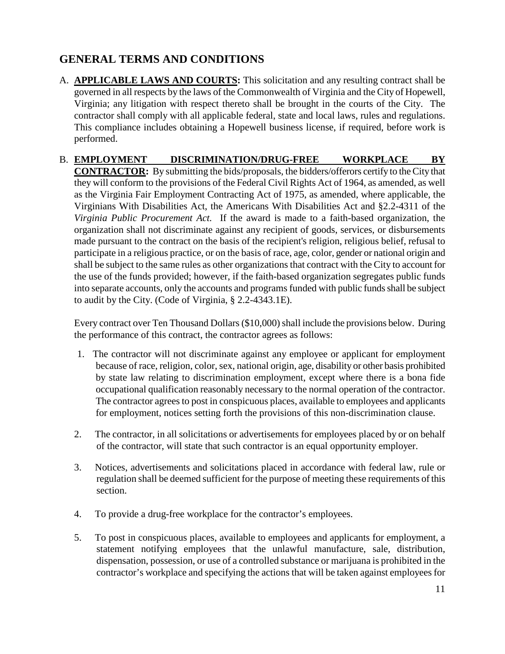# **GENERAL TERMS AND CONDITIONS**

- A. **APPLICABLE LAWS AND COURTS:** This solicitation and any resulting contract shall be governed in all respects by the laws of the Commonwealth of Virginia and the City of Hopewell, Virginia; any litigation with respect thereto shall be brought in the courts of the City. The contractor shall comply with all applicable federal, state and local laws, rules and regulations. This compliance includes obtaining a Hopewell business license, if required, before work is performed.
- B. **EMPLOYMENT DISCRIMINATION/DRUG-FREE WORKPLACE BY CONTRACTOR:** By submitting the bids/proposals, the bidders/offerors certify to the City that they will conform to the provisions of the Federal Civil Rights Act of 1964, as amended, as well as the Virginia Fair Employment Contracting Act of 1975, as amended, where applicable, the Virginians With Disabilities Act, the Americans With Disabilities Act and §2.2-4311 of the *Virginia Public Procurement Act.* If the award is made to a faith-based organization, the organization shall not discriminate against any recipient of goods, services, or disbursements made pursuant to the contract on the basis of the recipient's religion, religious belief, refusal to participate in a religious practice, or on the basis of race, age, color, gender or national origin and shall be subject to the same rules as other organizations that contract with the City to account for the use of the funds provided; however, if the faith-based organization segregates public funds into separate accounts, only the accounts and programs funded with public funds shall be subject to audit by the City. (Code of Virginia, § 2.2-4343.1E).

Every contract over Ten Thousand Dollars (\$10,000) shall include the provisions below. During the performance of this contract, the contractor agrees as follows:

- 1. The contractor will not discriminate against any employee or applicant for employment because of race, religion, color, sex, national origin, age, disability or other basis prohibited by state law relating to discrimination employment, except where there is a bona fide occupational qualification reasonably necessary to the normal operation of the contractor. The contractor agrees to post in conspicuous places, available to employees and applicants for employment, notices setting forth the provisions of this non-discrimination clause.
- 2. The contractor, in all solicitations or advertisements for employees placed by or on behalf of the contractor, will state that such contractor is an equal opportunity employer.
- 3. Notices, advertisements and solicitations placed in accordance with federal law, rule or regulation shall be deemed sufficient for the purpose of meeting these requirements of this section.
- 4. To provide a drug-free workplace for the contractor's employees.
- 5. To post in conspicuous places, available to employees and applicants for employment, a statement notifying employees that the unlawful manufacture, sale, distribution, dispensation, possession, or use of a controlled substance or marijuana is prohibited in the contractor's workplace and specifying the actions that will be taken against employees for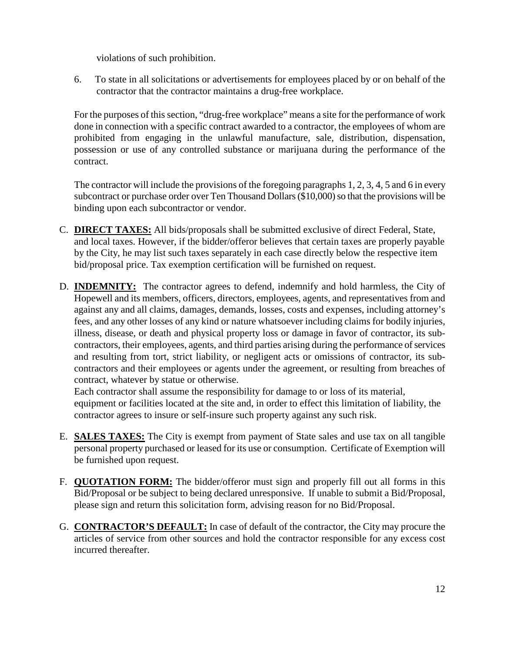violations of such prohibition.

6. To state in all solicitations or advertisements for employees placed by or on behalf of the contractor that the contractor maintains a drug-free workplace.

For the purposes of this section, "drug-free workplace" means a site for the performance of work done in connection with a specific contract awarded to a contractor, the employees of whom are prohibited from engaging in the unlawful manufacture, sale, distribution, dispensation, possession or use of any controlled substance or marijuana during the performance of the contract.

The contractor will include the provisions of the foregoing paragraphs 1, 2, 3, 4, 5 and 6 in every subcontract or purchase order over Ten Thousand Dollars (\$10,000) so that the provisions will be binding upon each subcontractor or vendor.

- C. **DIRECT TAXES:** All bids/proposals shall be submitted exclusive of direct Federal, State, and local taxes. However, if the bidder/offeror believes that certain taxes are properly payable by the City, he may list such taxes separately in each case directly below the respective item bid/proposal price. Tax exemption certification will be furnished on request.
- D. **INDEMNITY:** The contractor agrees to defend, indemnify and hold harmless, the City of Hopewell and its members, officers, directors, employees, agents, and representatives from and against any and all claims, damages, demands, losses, costs and expenses, including attorney's fees, and any other losses of any kind or nature whatsoever including claims for bodily injuries, illness, disease, or death and physical property loss or damage in favor of contractor, its subcontractors, their employees, agents, and third parties arising during the performance of services and resulting from tort, strict liability, or negligent acts or omissions of contractor, its subcontractors and their employees or agents under the agreement, or resulting from breaches of contract, whatever by statue or otherwise.

Each contractor shall assume the responsibility for damage to or loss of its material, equipment or facilities located at the site and, in order to effect this limitation of liability, the contractor agrees to insure or self-insure such property against any such risk.

- E. **SALES TAXES:** The City is exempt from payment of State sales and use tax on all tangible personal property purchased or leased for its use or consumption. Certificate of Exemption will be furnished upon request.
- F. **QUOTATION FORM:** The bidder/offeror must sign and properly fill out all forms in this Bid/Proposal or be subject to being declared unresponsive. If unable to submit a Bid/Proposal, please sign and return this solicitation form, advising reason for no Bid/Proposal.
- G. **CONTRACTOR'S DEFAULT:** In case of default of the contractor, the City may procure the articles of service from other sources and hold the contractor responsible for any excess cost incurred thereafter.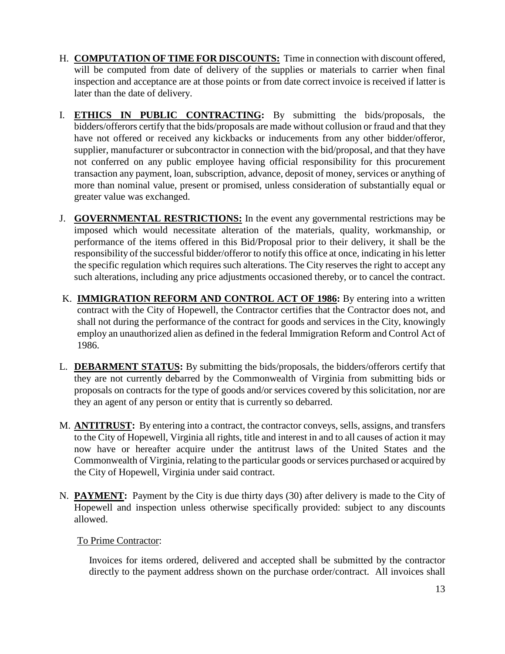- H. **COMPUTATION OF TIME FOR DISCOUNTS:** Time in connection with discount offered, will be computed from date of delivery of the supplies or materials to carrier when final inspection and acceptance are at those points or from date correct invoice is received if latter is later than the date of delivery.
- I. **ETHICS IN PUBLIC CONTRACTING:** By submitting the bids/proposals, the bidders/offerors certify that the bids/proposals are made without collusion or fraud and that they have not offered or received any kickbacks or inducements from any other bidder/offeror, supplier, manufacturer or subcontractor in connection with the bid/proposal, and that they have not conferred on any public employee having official responsibility for this procurement transaction any payment, loan, subscription, advance, deposit of money, services or anything of more than nominal value, present or promised, unless consideration of substantially equal or greater value was exchanged.
- J. **GOVERNMENTAL RESTRICTIONS:** In the event any governmental restrictions may be imposed which would necessitate alteration of the materials, quality, workmanship, or performance of the items offered in this Bid/Proposal prior to their delivery, it shall be the responsibility of the successful bidder/offeror to notify this office at once, indicating in his letter the specific regulation which requires such alterations. The City reserves the right to accept any such alterations, including any price adjustments occasioned thereby, or to cancel the contract.
- K. **IMMIGRATION REFORM AND CONTROL ACT OF 1986:** By entering into a written contract with the City of Hopewell, the Contractor certifies that the Contractor does not, and shall not during the performance of the contract for goods and services in the City, knowingly employ an unauthorized alien as defined in the federal Immigration Reform and Control Act of 1986.
- L. **DEBARMENT STATUS:** By submitting the bids/proposals, the bidders/offerors certify that they are not currently debarred by the Commonwealth of Virginia from submitting bids or proposals on contracts for the type of goods and/or services covered by this solicitation, nor are they an agent of any person or entity that is currently so debarred.
- M. **ANTITRUST:** By entering into a contract, the contractor conveys, sells, assigns, and transfers to the City of Hopewell, Virginia all rights, title and interest in and to all causes of action it may now have or hereafter acquire under the antitrust laws of the United States and the Commonwealth of Virginia, relating to the particular goods or services purchased or acquired by the City of Hopewell, Virginia under said contract.
- N. **PAYMENT:** Payment by the City is due thirty days (30) after delivery is made to the City of Hopewell and inspection unless otherwise specifically provided: subject to any discounts allowed.

#### To Prime Contractor:

Invoices for items ordered, delivered and accepted shall be submitted by the contractor directly to the payment address shown on the purchase order/contract. All invoices shall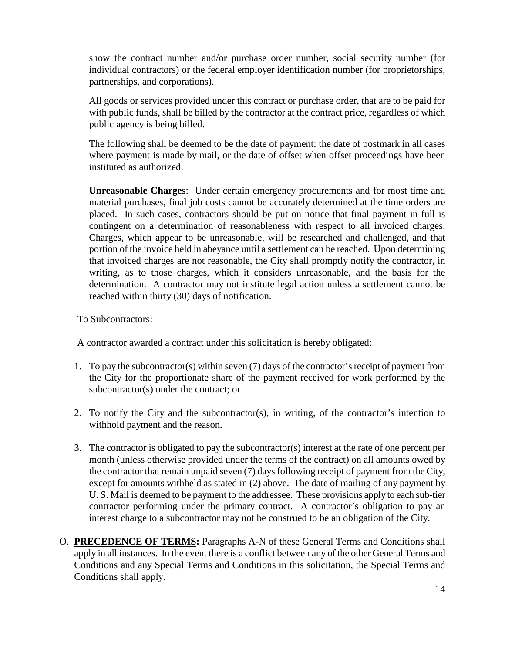show the contract number and/or purchase order number, social security number (for individual contractors) or the federal employer identification number (for proprietorships, partnerships, and corporations).

All goods or services provided under this contract or purchase order, that are to be paid for with public funds, shall be billed by the contractor at the contract price, regardless of which public agency is being billed.

The following shall be deemed to be the date of payment: the date of postmark in all cases where payment is made by mail, or the date of offset when offset proceedings have been instituted as authorized.

**Unreasonable Charges**: Under certain emergency procurements and for most time and material purchases, final job costs cannot be accurately determined at the time orders are placed. In such cases, contractors should be put on notice that final payment in full is contingent on a determination of reasonableness with respect to all invoiced charges. Charges, which appear to be unreasonable, will be researched and challenged, and that portion of the invoice held in abeyance until a settlement can be reached. Upon determining that invoiced charges are not reasonable, the City shall promptly notify the contractor, in writing, as to those charges, which it considers unreasonable, and the basis for the determination. A contractor may not institute legal action unless a settlement cannot be reached within thirty (30) days of notification.

#### To Subcontractors:

A contractor awarded a contract under this solicitation is hereby obligated:

- 1. To pay the subcontractor(s) within seven (7) days of the contractor's receipt of payment from the City for the proportionate share of the payment received for work performed by the subcontractor(s) under the contract; or
- 2. To notify the City and the subcontractor(s), in writing, of the contractor's intention to withhold payment and the reason.
- 3. The contractor is obligated to pay the subcontractor(s) interest at the rate of one percent per month (unless otherwise provided under the terms of the contract) on all amounts owed by the contractor that remain unpaid seven (7) days following receipt of payment from the City, except for amounts withheld as stated in (2) above. The date of mailing of any payment by U. S. Mail is deemed to be payment to the addressee. These provisions apply to each sub-tier contractor performing under the primary contract. A contractor's obligation to pay an interest charge to a subcontractor may not be construed to be an obligation of the City.
- O. **PRECEDENCE OF TERMS:** Paragraphs A-N of these General Terms and Conditions shall apply in all instances. In the event there is a conflict between any of the other General Terms and Conditions and any Special Terms and Conditions in this solicitation, the Special Terms and Conditions shall apply.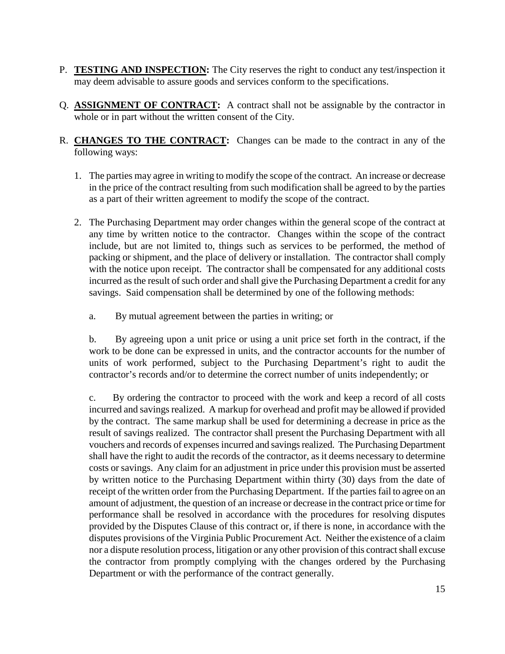- P. **TESTING AND INSPECTION:** The City reserves the right to conduct any test/inspection it may deem advisable to assure goods and services conform to the specifications.
- Q. **ASSIGNMENT OF CONTRACT:** A contract shall not be assignable by the contractor in whole or in part without the written consent of the City.
- R. **CHANGES TO THE CONTRACT:** Changes can be made to the contract in any of the following ways:
	- 1. The parties may agree in writing to modify the scope of the contract. An increase or decrease in the price of the contract resulting from such modification shall be agreed to by the parties as a part of their written agreement to modify the scope of the contract.
	- 2. The Purchasing Department may order changes within the general scope of the contract at any time by written notice to the contractor. Changes within the scope of the contract include, but are not limited to, things such as services to be performed, the method of packing or shipment, and the place of delivery or installation. The contractor shall comply with the notice upon receipt. The contractor shall be compensated for any additional costs incurred as the result of such order and shall give the Purchasing Department a credit for any savings. Said compensation shall be determined by one of the following methods:
		- a. By mutual agreement between the parties in writing; or

b. By agreeing upon a unit price or using a unit price set forth in the contract, if the work to be done can be expressed in units, and the contractor accounts for the number of units of work performed, subject to the Purchasing Department's right to audit the contractor's records and/or to determine the correct number of units independently; or

c. By ordering the contractor to proceed with the work and keep a record of all costs incurred and savings realized. A markup for overhead and profit may be allowed if provided by the contract. The same markup shall be used for determining a decrease in price as the result of savings realized. The contractor shall present the Purchasing Department with all vouchers and records of expenses incurred and savings realized. The Purchasing Department shall have the right to audit the records of the contractor, as it deems necessary to determine costs or savings. Any claim for an adjustment in price under this provision must be asserted by written notice to the Purchasing Department within thirty (30) days from the date of receipt of the written order from the Purchasing Department. If the parties fail to agree on an amount of adjustment, the question of an increase or decrease in the contract price or time for performance shall be resolved in accordance with the procedures for resolving disputes provided by the Disputes Clause of this contract or, if there is none, in accordance with the disputes provisions of the Virginia Public Procurement Act. Neither the existence of a claim nor a dispute resolution process, litigation or any other provision of this contract shall excuse the contractor from promptly complying with the changes ordered by the Purchasing Department or with the performance of the contract generally.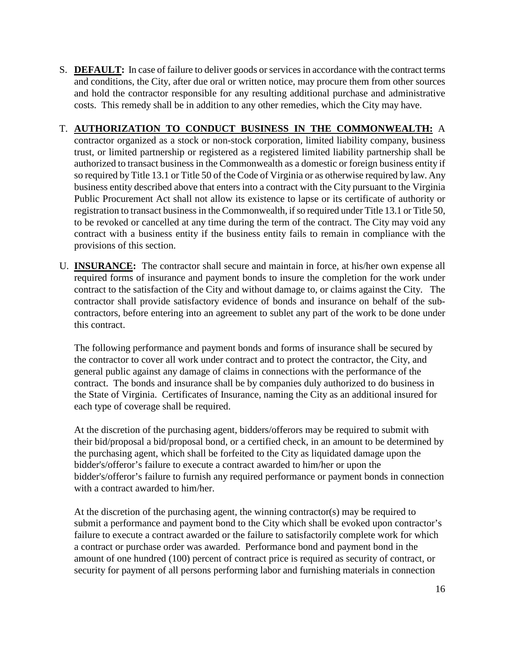S. **DEFAULT:** In case of failure to deliver goods or services in accordance with the contract terms and conditions, the City, after due oral or written notice, may procure them from other sources and hold the contractor responsible for any resulting additional purchase and administrative costs. This remedy shall be in addition to any other remedies, which the City may have.

#### T. **AUTHORIZATION TO CONDUCT BUSINESS IN THE COMMONWEALTH:** A

- contractor organized as a stock or non-stock corporation, limited liability company, business trust, or limited partnership or registered as a registered limited liability partnership shall be authorized to transact business in the Commonwealth as a domestic or foreign business entity if so required by Title 13.1 or Title 50 of the Code of Virginia or as otherwise required by law. Any business entity described above that enters into a contract with the City pursuant to the Virginia Public Procurement Act shall not allow its existence to lapse or its certificate of authority or registration to transact business in the Commonwealth, if so required under Title 13.1 or Title 50, to be revoked or cancelled at any time during the term of the contract. The City may void any contract with a business entity if the business entity fails to remain in compliance with the provisions of this section.
- U. **INSURANCE:** The contractor shall secure and maintain in force, at his/her own expense all required forms of insurance and payment bonds to insure the completion for the work under contract to the satisfaction of the City and without damage to, or claims against the City. The contractor shall provide satisfactory evidence of bonds and insurance on behalf of the subcontractors, before entering into an agreement to sublet any part of the work to be done under this contract.

The following performance and payment bonds and forms of insurance shall be secured by the contractor to cover all work under contract and to protect the contractor, the City, and general public against any damage of claims in connections with the performance of the contract. The bonds and insurance shall be by companies duly authorized to do business in the State of Virginia. Certificates of Insurance, naming the City as an additional insured for each type of coverage shall be required.

At the discretion of the purchasing agent, bidders/offerors may be required to submit with their bid/proposal a bid/proposal bond, or a certified check, in an amount to be determined by the purchasing agent, which shall be forfeited to the City as liquidated damage upon the bidder's/offeror's failure to execute a contract awarded to him/her or upon the bidder's/offeror's failure to furnish any required performance or payment bonds in connection with a contract awarded to him/her.

At the discretion of the purchasing agent, the winning contractor(s) may be required to submit a performance and payment bond to the City which shall be evoked upon contractor's failure to execute a contract awarded or the failure to satisfactorily complete work for which a contract or purchase order was awarded. Performance bond and payment bond in the amount of one hundred (100) percent of contract price is required as security of contract, or security for payment of all persons performing labor and furnishing materials in connection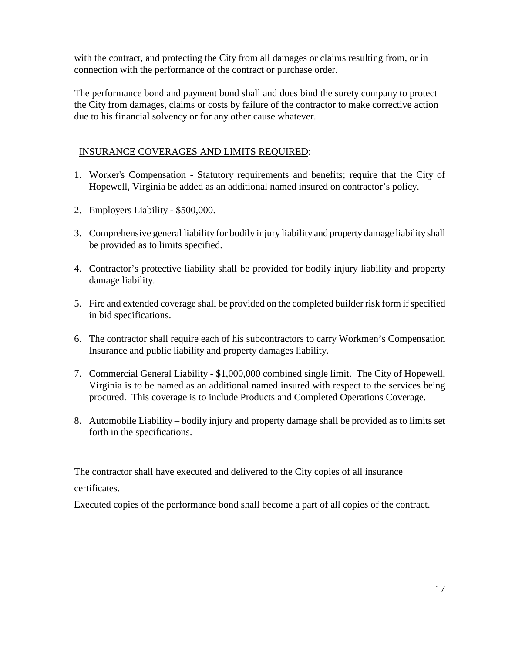with the contract, and protecting the City from all damages or claims resulting from, or in connection with the performance of the contract or purchase order.

The performance bond and payment bond shall and does bind the surety company to protect the City from damages, claims or costs by failure of the contractor to make corrective action due to his financial solvency or for any other cause whatever.

#### INSURANCE COVERAGES AND LIMITS REQUIRED:

- 1. Worker's Compensation Statutory requirements and benefits; require that the City of Hopewell, Virginia be added as an additional named insured on contractor's policy.
- 2. Employers Liability \$500,000.
- 3. Comprehensive general liability for bodily injury liability and property damage liability shall be provided as to limits specified.
- 4. Contractor's protective liability shall be provided for bodily injury liability and property damage liability.
- 5. Fire and extended coverage shall be provided on the completed builder risk form if specified in bid specifications.
- 6. The contractor shall require each of his subcontractors to carry Workmen's Compensation Insurance and public liability and property damages liability.
- 7. Commercial General Liability \$1,000,000 combined single limit. The City of Hopewell, Virginia is to be named as an additional named insured with respect to the services being procured. This coverage is to include Products and Completed Operations Coverage.
- 8. Automobile Liability bodily injury and property damage shall be provided as to limits set forth in the specifications.

The contractor shall have executed and delivered to the City copies of all insurance

#### certificates.

Executed copies of the performance bond shall become a part of all copies of the contract.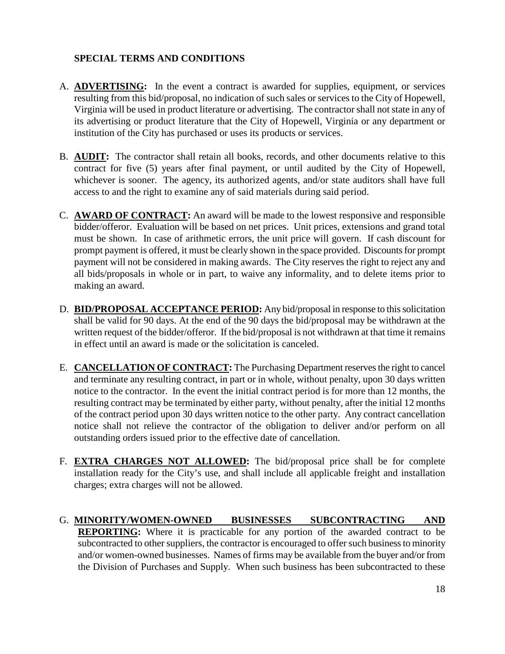#### **SPECIAL TERMS AND CONDITIONS**

- A. **ADVERTISING:** In the event a contract is awarded for supplies, equipment, or services resulting from this bid/proposal, no indication of such sales or services to the City of Hopewell, Virginia will be used in product literature or advertising. The contractor shall not state in any of its advertising or product literature that the City of Hopewell, Virginia or any department or institution of the City has purchased or uses its products or services.
- B. **AUDIT:** The contractor shall retain all books, records, and other documents relative to this contract for five (5) years after final payment, or until audited by the City of Hopewell, whichever is sooner. The agency, its authorized agents, and/or state auditors shall have full access to and the right to examine any of said materials during said period.
- C. **AWARD OF CONTRACT:** An award will be made to the lowest responsive and responsible bidder/offeror. Evaluation will be based on net prices. Unit prices, extensions and grand total must be shown. In case of arithmetic errors, the unit price will govern. If cash discount for prompt payment is offered, it must be clearly shown in the space provided. Discounts for prompt payment will not be considered in making awards. The City reserves the right to reject any and all bids/proposals in whole or in part, to waive any informality, and to delete items prior to making an award.
- D. **BID/PROPOSAL ACCEPTANCE PERIOD:** Any bid/proposal in response to this solicitation shall be valid for 90 days. At the end of the 90 days the bid/proposal may be withdrawn at the written request of the bidder/offeror. If the bid/proposal is not withdrawn at that time it remains in effect until an award is made or the solicitation is canceled.
- E. **CANCELLATION OF CONTRACT:** The Purchasing Department reserves the right to cancel and terminate any resulting contract, in part or in whole, without penalty, upon 30 days written notice to the contractor. In the event the initial contract period is for more than 12 months, the resulting contract may be terminated by either party, without penalty, after the initial 12 months of the contract period upon 30 days written notice to the other party. Any contract cancellation notice shall not relieve the contractor of the obligation to deliver and/or perform on all outstanding orders issued prior to the effective date of cancellation.
- F. **EXTRA CHARGES NOT ALLOWED:** The bid/proposal price shall be for complete installation ready for the City's use, and shall include all applicable freight and installation charges; extra charges will not be allowed.
- G. **MINORITY/WOMEN-OWNED BUSINESSES SUBCONTRACTING AND REPORTING:** Where it is practicable for any portion of the awarded contract to be subcontracted to other suppliers, the contractor is encouraged to offer such business to minority and/or women-owned businesses. Names of firms may be available from the buyer and/or from the Division of Purchases and Supply. When such business has been subcontracted to these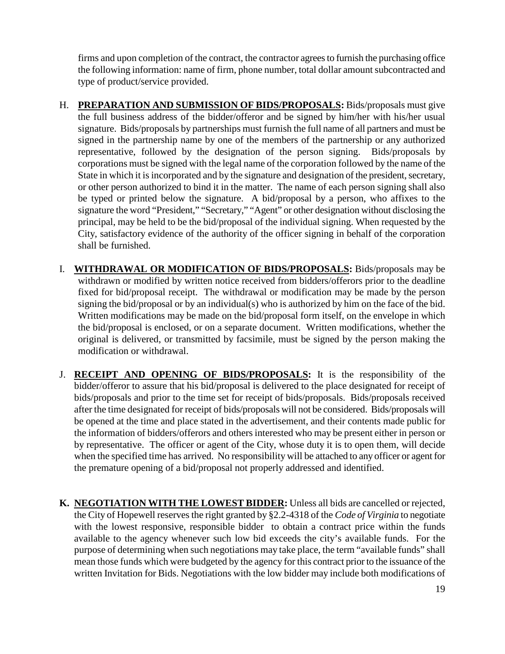firms and upon completion of the contract, the contractor agrees to furnish the purchasing office the following information: name of firm, phone number, total dollar amount subcontracted and type of product/service provided.

- H. **PREPARATION AND SUBMISSION OF BIDS/PROPOSALS:** Bids/proposals must give the full business address of the bidder/offeror and be signed by him/her with his/her usual signature. Bids/proposals by partnerships must furnish the full name of all partners and must be signed in the partnership name by one of the members of the partnership or any authorized representative, followed by the designation of the person signing. Bids/proposals by corporations must be signed with the legal name of the corporation followed by the name of the State in which it is incorporated and by the signature and designation of the president, secretary, or other person authorized to bind it in the matter. The name of each person signing shall also be typed or printed below the signature. A bid/proposal by a person, who affixes to the signature the word "President," "Secretary," "Agent" or other designation without disclosing the principal, may be held to be the bid/proposal of the individual signing. When requested by the City, satisfactory evidence of the authority of the officer signing in behalf of the corporation shall be furnished.
- I. **WITHDRAWAL OR MODIFICATION OF BIDS/PROPOSALS:** Bids/proposals may be withdrawn or modified by written notice received from bidders/offerors prior to the deadline fixed for bid/proposal receipt. The withdrawal or modification may be made by the person signing the bid/proposal or by an individual(s) who is authorized by him on the face of the bid. Written modifications may be made on the bid/proposal form itself, on the envelope in which the bid/proposal is enclosed, or on a separate document. Written modifications, whether the original is delivered, or transmitted by facsimile, must be signed by the person making the modification or withdrawal.
- J. **RECEIPT AND OPENING OF BIDS/PROPOSALS:** It is the responsibility of the bidder/offeror to assure that his bid/proposal is delivered to the place designated for receipt of bids/proposals and prior to the time set for receipt of bids/proposals. Bids/proposals received after the time designated for receipt of bids/proposals will not be considered. Bids/proposals will be opened at the time and place stated in the advertisement, and their contents made public for the information of bidders/offerors and others interested who may be present either in person or by representative. The officer or agent of the City, whose duty it is to open them, will decide when the specified time has arrived. No responsibility will be attached to any officer or agent for the premature opening of a bid/proposal not properly addressed and identified.
- **K. NEGOTIATION WITH THE LOWEST BIDDER:** Unless all bids are cancelled or rejected, the City of Hopewell reserves the right granted by §2.2-4318 of the *Code of Virginia* to negotiate with the lowest responsive, responsible bidder to obtain a contract price within the funds available to the agency whenever such low bid exceeds the city's available funds. For the purpose of determining when such negotiations may take place, the term "available funds" shall mean those funds which were budgeted by the agency for this contract prior to the issuance of the written Invitation for Bids. Negotiations with the low bidder may include both modifications of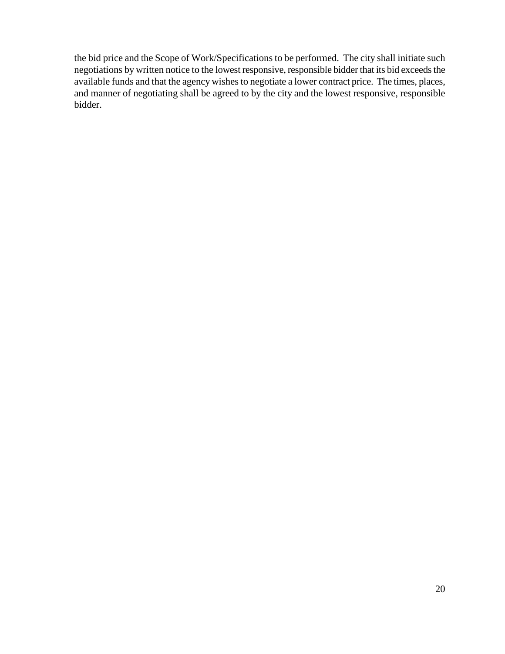the bid price and the Scope of Work/Specifications to be performed. The city shall initiate such negotiations by written notice to the lowest responsive, responsible bidder that its bid exceeds the available funds and that the agency wishes to negotiate a lower contract price. The times, places, and manner of negotiating shall be agreed to by the city and the lowest responsive, responsible bidder.